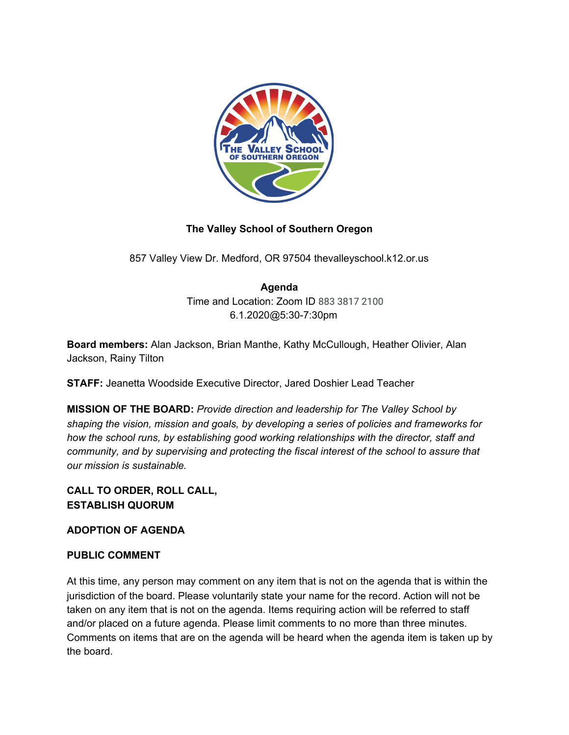

# **The Valley School of Southern Oregon**

857 Valley View Dr. Medford, OR 97504 thevalleyschool.k12.or.us

# **Agenda**

Time and Location: Zoom ID 883 3817 2100 6.1.2020@5:30-7:30pm

**Board members:** Alan Jackson, Brian Manthe, Kathy McCullough, Heather Olivier, Alan Jackson, Rainy Tilton

**STAFF:** Jeanetta Woodside Executive Director, Jared Doshier Lead Teacher

**MISSION OF THE BOARD:** *Provide direction and leadership for The Valley School by shaping the vision, mission and goals, by developing a series of policies and frameworks for how the school runs, by establishing good working relationships with the director, staff and community, and by supervising and protecting the fiscal interest of the school to assure that our mission is sustainable.*

## **CALL TO ORDER, ROLL CALL, ESTABLISH QUORUM**

#### **ADOPTION OF AGENDA**

#### **PUBLIC COMMENT**

At this time, any person may comment on any item that is not on the agenda that is within the jurisdiction of the board. Please voluntarily state your name for the record. Action will not be taken on any item that is not on the agenda. Items requiring action will be referred to staff and/or placed on a future agenda. Please limit comments to no more than three minutes. Comments on items that are on the agenda will be heard when the agenda item is taken up by the board.